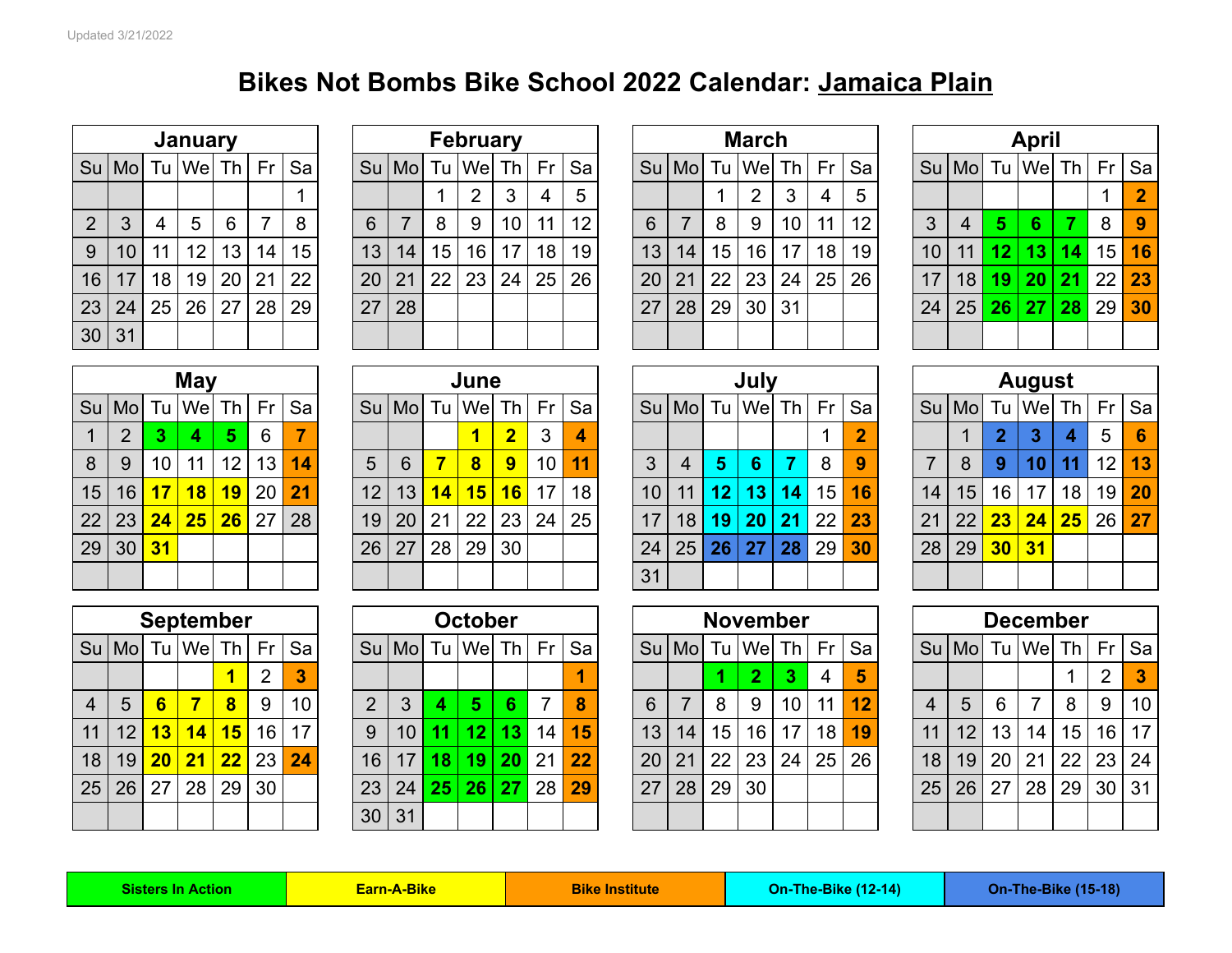## **Bikes Not Bombs Bike School 2022 Calendar: Jamaica Plain**

|                |    |    | January           |    |    |                 |
|----------------|----|----|-------------------|----|----|-----------------|
|                |    |    | Su Mo Tu We Th Fr |    |    | Sa              |
|                |    |    |                   |    |    |                 |
| $\overline{2}$ | 3  | 4  | 5                 | 6  | 7  | 8               |
| 9              | 10 | 11 | 12                | 13 | 14 | 15 <sub>1</sub> |
| 16             | 17 | 18 | 19                | 20 | 21 | 22              |
| 23             | 24 | 25 | 26                | 27 | 28 | 29              |
| 30             | 31 |    |                   |    |    |                 |

|    |                |    | <b>February</b> |    |    |    |
|----|----------------|----|-----------------|----|----|----|
|    | $Su$ Mo        |    | Tu   We         | Th | Fr | Sa |
|    |                |    | $\overline{2}$  | 3  | 4  | 5  |
| 6  | $\overline{7}$ | 8  | 9               | 10 | 11 | 12 |
| 13 | 14             | 15 | 16              | 17 | 18 | 19 |
| 20 | 21             | 22 | 23              | 24 | 25 | 26 |
| 27 | 28             |    |                 |    |    |    |
|    |                |    |                 |    |    |    |

|                |              |    | <b>January</b>  |     |                 |    |    |         |    | <b>February</b> |                 |    |                   |           |       |                 | <b>March</b>    |    |      |    |                 |                   |    | <b>April</b>    |    |         |                |
|----------------|--------------|----|-----------------|-----|-----------------|----|----|---------|----|-----------------|-----------------|----|-------------------|-----------|-------|-----------------|-----------------|----|------|----|-----------------|-------------------|----|-----------------|----|---------|----------------|
|                | Su   Mo      |    | Tu   Wel        | Th. | Fr <sub>1</sub> | Sa |    | $Su$ Mo |    | Tu   We  Th     |                 |    | $Fr$ Sa           |           | Su Mo |                 | Tu We           | Th | Fr I | Sa |                 | Su   Mo   Tu   We |    |                 | Th | Fr      | <b>Sa</b>      |
|                |              |    |                 |     |                 |    |    |         |    | 2               | 3               | 4  | 5                 |           |       |                 | 2               | 3  | 4    | 5  |                 |                   |    |                 |    |         | $\overline{2}$ |
| 2 <sup>1</sup> | $\mathbf{3}$ | 4  | 5               | 6   |                 | 8  | 6  |         | 8  | 9               | 10 <sup>°</sup> | 11 | $12 \overline{ }$ | 6         |       | 8               | 9               | 10 | 11   | 12 | 3               | 4                 | 57 | 6               |    | 8       | -9             |
| 9 <sup>1</sup> | 10           | 11 | 12              | 13  | 14              | 15 | 13 | 14      | 15 | 16              | 17              | 18 | 19                | 13        | 14    | 15              | 16 <sup>°</sup> | 17 | 18   | 19 | 10 <sup>1</sup> | 11                | 12 | 13 <sup>1</sup> | 14 | $15$ 16 |                |
| 16             | 17           | 18 | 19 <sup>1</sup> | 20  | $21 \mid$       | 22 | 20 | 21      | 22 | 23              | 24 <sub>1</sub> | 25 | 26                | <b>20</b> | 21    | 22              | 23              | 24 | 25   | 26 | 17              | 18 <sup>1</sup>   |    | 19 20 21        |    | 22 23   |                |
|                | 23 24        | 25 | 26 <sup>1</sup> | 27  | 28              | 29 | 27 | 28      |    |                 |                 |    |                   | 27        | 28    | 29 <sub>1</sub> | 30              | 31 |      |    | 24              | 25 <sub>1</sub>   |    | 26 27 28        |    | 29 30   |                |
| 30 31          |              |    |                 |     |                 |    |    |         |    |                 |                 |    |                   |           |       |                 |                 |    |      |    |                 |                   |    |                 |    |         |                |

|                 |       |    | January         |                 |                 |    |    |    |           | <b>February</b>    |                 |    |    |    |         |                 | <b>March</b>    |                 |    |    |                 |         |                 | <b>April</b> |      |         |                |
|-----------------|-------|----|-----------------|-----------------|-----------------|----|----|----|-----------|--------------------|-----------------|----|----|----|---------|-----------------|-----------------|-----------------|----|----|-----------------|---------|-----------------|--------------|------|---------|----------------|
|                 |       |    | Su Mo Tu We     | Th I            | Fr              | Sa | Su | Mo |           | $Tu$   We  Th   Fr |                 |    | Sa |    | Su   Mo |                 | Tu   We         | Th <sub>1</sub> | Fr | Sa |                 | $Su$ Mo |                 | Tu We        | Th I | Fr      | Sa             |
|                 |       |    |                 |                 |                 |    |    |    |           | $\overline{2}$     | 3               | 4  | 5  |    |         |                 | <u>ຼ</u>        | 3               | 4  | 5  |                 |         |                 |              |      |         | $\overline{2}$ |
| 2 <sup>1</sup>  | 3     | 4  | $5^{\circ}$     | 6               |                 | 8  | 6  |    | 8         | 9                  | 10 <sub>l</sub> | 11 | 12 | 6  |         | 8               | -9              | 10              | 11 | 12 |                 | 4       | 5               | 6.           |      | 8       | 9              |
| 9 <sup>1</sup>  | 10    | 11 | 12 <sup>2</sup> | 13 <sup>°</sup> | 14              | 15 | 13 | 14 | 15        | 16                 | 17 <sup>1</sup> | 18 | 19 | 13 | 14      | 15 <sub>1</sub> | 16 I            | 17              | 18 | 19 | 10 <sup>°</sup> | 11      | 12 <sup>1</sup> | 13           |      | $14$ 15 | 16             |
| 16 <sup>1</sup> | 17    | 18 | 19              | 20              | 21              | 22 | 20 | 21 | <b>22</b> | 23                 | 24 25           |    | 26 | 20 | 21      | 22              | 23 <sub>1</sub> | 24              | 25 | 26 | 17              | 18      | 19 <sup>1</sup> | 20   21      |      | 22      | 23             |
|                 | 23 24 | 25 | 26              | 27              | 28 <sup>1</sup> | 29 | 27 | 28 |           |                    |                 |    |    | 27 | 28      | 29              | 30 <sup>1</sup> | 31              |    |    | 24              | 25      |                 | 26 27 28     |      | 29      | 30             |
| 30 31           |       |    |                 |                 |                 |    |    |    |           |                    |                 |    |    |    |         |                 |                 |                 |    |    |                 |         |                 |              |      |         |                |

|    |                |                 | <b>May</b>            |                      |    |    |
|----|----------------|-----------------|-----------------------|----------------------|----|----|
| Su |                |                 | Mo $Tu$ We $Th$ Fr Sa |                      |    |    |
| 1  | $\overline{2}$ | 3               | 4                     | 5                    | 6  | 7  |
| 8  | 9              | 10 <sup>1</sup> | 11                    | 12                   | 13 | 14 |
| 15 | 16             | 17 <sub>2</sub> | 18                    | 19                   | 20 | 21 |
| 22 | 23             | 24              |                       | $25 \mid 26 \mid 27$ |    | 28 |
| 29 | 30             | 31              |                       |                      |    |    |
|    |                |                 |                       |                      |    |    |

|                |             |                | <b>May</b>          |                 |                 |    |    |    |    | June                          |                           |                 |         |                 |                 |                 | July           |                 |              |                |    |                                  |                 | <b>August</b>   |    |                 |     |
|----------------|-------------|----------------|---------------------|-----------------|-----------------|----|----|----|----|-------------------------------|---------------------------|-----------------|---------|-----------------|-----------------|-----------------|----------------|-----------------|--------------|----------------|----|----------------------------------|-----------------|-----------------|----|-----------------|-----|
|                | Su Mo  Tu   |                | Wel                 | Th <sub>l</sub> | Fr              | Sa |    |    |    | $\text{Su}$   Mo  Tu   We  Th |                           |                 | $Fr$ Sa |                 | $Su$ Mo         |                 | Tu   Wel       | Th <sub>l</sub> |              | $Fr$ Sa        |    | Su   Mo   Tu   We   Th   Fr   Sa |                 |                 |    |                 |     |
| $1 \mid$       | $2^{\circ}$ | $\overline{3}$ | $\overline{4}$      | 5 <sub>1</sub>  | 6               |    |    |    |    |                               | $\overline{\mathbf{2}}$ . | 3               | 4       |                 |                 |                 |                |                 |              | $\overline{2}$ |    |                                  |                 | 3               | 4  | 5 <sup>5</sup>  | - 6 |
| 8 <sup>1</sup> | 9           | 10             | 11                  | 12 <sup>2</sup> | 13              | 14 | 5  | 6  |    | 8 <sup>°</sup>                | 9 <sup>°</sup>            | 10 <sup>1</sup> | 11      | 3               | $\overline{4}$  | -5              | 6 <sup>°</sup> | 7               | 8            | 9              |    | 8                                | 9               | 10              | 11 | $12$ 13         |     |
| 15             | 16          | 17             | <mark>  18  </mark> | 19              | 20 <sup>1</sup> | 21 | 12 | 13 | 14 | 15                            | 16                        | 17              | 18      | 10 <sup>1</sup> | 11              | 12 <sub>1</sub> | 13             | 14              | 15           | 16             | 14 | 15 <sup>1</sup>                  | 16 <sup>1</sup> | 17 <sub>1</sub> | 18 | $19$ 20         |     |
|                | 22 23       | 24             | 25                  | 26              | 27 <sup>1</sup> | 28 | 19 | 20 | 21 | 22                            | 23                        | 24              | 25      | 17 <sup>1</sup> | 18 <sup>1</sup> |                 | 19 20          | 21              | $22 \mid 23$ |                | 21 | 22                               | 23              | 24 25           |    | $26 \,   \, 27$ |     |
|                | 29 30       | 31             |                     |                 |                 |    | 26 | 27 | 28 | 29                            | 30                        |                 |         | 24              | 25              | 26              | 27             | 28              | $29 \mid$    | 30             | 28 | $29$ 30                          |                 | 31              |    |                 |     |
|                |             |                |                     |                 |                 |    |    |    |    |                               |                           |                 |         | 31              |                 |                 |                |                 |              |                |    |                                  |                 |                 |    |                 |     |

|    |                 |                 | <b>September</b> |      |                 |    |                 |                 |                 | <b>October</b> |                 |    |         |    |                        |    | <b>November</b> |                 |    |    |                |         |                 | <b>December</b> |      |    |       |
|----|-----------------|-----------------|------------------|------|-----------------|----|-----------------|-----------------|-----------------|----------------|-----------------|----|---------|----|------------------------|----|-----------------|-----------------|----|----|----------------|---------|-----------------|-----------------|------|----|-------|
|    | $Su$ Mo         |                 | Tu We            | Th I | Fr              | Sa |                 | Su   Mo         |                 | Tu   We        | Th <sub>l</sub> |    | $Fr$ Sa |    | Su   Mo   Tu   We   Th |    |                 |                 | Fr | Sa |                | $Su$ Mo |                 | Tu We           | Th I |    | Fr Sa |
|    |                 |                 |                  |      | ◠               | 3  |                 |                 |                 |                |                 |    |         |    |                        |    |                 | 3               | 4  | 5  |                |         |                 |                 |      | ົ  | 3     |
| 4  | 5 <sup>5</sup>  | 6               |                  | 8    | 9               | 10 | $\overline{2}$  | 3               |                 | 5              | 6               |    | 8       | 6  |                        | 8  | 9               | 10 <sup>1</sup> | 11 | 12 | $\overline{4}$ | 5       | 6               |                 | 8    | 9  | 10    |
| 11 | 12 <sup>2</sup> | 13              | 14               | 15   | 16              | 17 | 9               | 10 <sup>°</sup> |                 | 11 12          | 13 <sup>°</sup> | 14 | 15      | 13 | 14                     | 15 | 16 <sup>1</sup> | 17 <sup>1</sup> | 18 | 19 | 11             | 12      | 13 <sup>2</sup> | 14 <sub>1</sub> | 15   | 16 | 17    |
| 18 | 19              | 20 <sub>2</sub> | 21               | 22   | 23 <sup>1</sup> | 24 | 16              | 17              | 18 <sup>1</sup> | $19+$          | 20              | 21 | 22      | 20 | 21                     | 22 | 23              | 24              | 25 | 26 | 18             | 19      | 20              | 21              | 22   | 23 | 24    |
| 25 | 26              | 27              | 28 <sub>1</sub>  | 29   | 30 <sub>1</sub> |    | 23              | 24              |                 | 25 26          | 27              | 28 | 29      | 27 | 28                     | 29 | 30 <sub>1</sub> |                 |    |    | 25             | 26      | 27              | 28              | 29   | 30 | 31    |
|    |                 |                 |                  |      |                 |    | 30 <sub>1</sub> | 31              |                 |                |                 |    |         |    |                        |    |                 |                 |    |    |                |         |                 |                 |      |    |       |

|                 | <b>September</b> |                 |                |                 |               |                 |                 | <b>October</b>  |                 |    |    |    |                   |    |                 | <b>November</b> |         |    |                |     |                 | <b>December</b> |     |                |    |
|-----------------|------------------|-----------------|----------------|-----------------|---------------|-----------------|-----------------|-----------------|-----------------|----|----|----|-------------------|----|-----------------|-----------------|---------|----|----------------|-----|-----------------|-----------------|-----|----------------|----|
| Tu              | We               | Th I            | Fr             | Sa              |               | $Su$ Mo         |                 | Tu   Wel        | Th              | Fr | Sa |    | Su   Mo   Tu   We |    |                 |                 | $Th$ Fr | Sa | Su l           | Mol |                 | Tu   We  Th     |     | $Fr$ Sa        |    |
|                 |                  |                 | $\overline{2}$ |                 |               |                 |                 |                 |                 |    |    |    |                   |    |                 | 3               | 4       | 5  |                |     |                 |                 |     | $\overline{2}$ | -3 |
| 6               |                  | $\mathbf{8}$    | 9              | 10 <sup>°</sup> | $\mathcal{P}$ |                 | 4               | 5               | 6               |    | 8  | 6  |                   | 8  | 9               | 10 <sup>1</sup> | 11      | 12 | $\overline{4}$ | 5   | 6               |                 | 8   | 9              | 10 |
| 13 <sup>°</sup> | 14               | 15 <sub>l</sub> | 16             | 17              | 9             | 10 <sup>1</sup> |                 | 11   12         | 13 <sup>°</sup> | 14 | 15 | 13 | 14                | 15 | 16 I            | 17              | 18      | 19 | 11             | 12  | 13 <sup>°</sup> | 14              | 15  | 16 17          |    |
| 20              | $\overline{21}$  | 22              | 23             | 24              | 16            | 17 <sup>1</sup> | 18 <sup>1</sup> | 19 <sup>1</sup> | <b>20</b>       | 21 | 22 | 20 | 21                | 22 | 23 <sub>1</sub> | 24              | 25      | 26 | 18             | 19  | 20              | 21              | -22 | 23 24          |    |
| 27              | 28               | 29              | 30             |                 | 23            | 24 <sub>1</sub> |                 | 25 26           | 27              | 28 | 29 | 27 | 28                | 29 | 30 <sub>1</sub> |                 |         |    | 25             | 26  | 27              | 28              | 29  | 30 31          |    |
|                 |                  |                 |                |                 | 30            | 31              |                 |                 |                 |    |    |    |                   |    |                 |                 |         |    |                |     |                 |                 |     |                |    |

|    |                |                 | July        |    |    |                |
|----|----------------|-----------------|-------------|----|----|----------------|
| Su |                |                 | Mo Tu We Th |    | Fr | Sa             |
|    |                |                 |             |    |    | $\overline{2}$ |
| 3  | $\overline{4}$ | $5\phantom{.}$  | 6           | 7  | 8  | 9              |
| 10 | 11             | 12 <sub>2</sub> | 13          | 14 | 15 | 16             |
| 17 | 18             | 19              | 20          | 21 | 22 | 23             |
| 24 | 25             | 26              | 27          | 28 | 29 | 30             |
| 31 |                |                 |             |    |    |                |

|                |    |                | <b>August</b>        |    |    |    |
|----------------|----|----------------|----------------------|----|----|----|
|                |    |                | $Su$ Mo $Tu$ We $Th$ |    | Fr | Sa |
|                |    | $\overline{2}$ | 3                    | 4  | 5  | 6  |
| $\overline{7}$ | 8  | 9              | 10                   | 11 | 12 | 13 |
| 14             | 15 | 16             | 17                   | 18 | 19 | 20 |
| 21             | 22 | 23             | 24                   | 25 | 26 | 27 |
| 28             | 29 | 30             | 31                   |    |    |    |
|                |    |                |                      |    |    |    |

|    |                |    | <b>November</b>        |    |    |    |
|----|----------------|----|------------------------|----|----|----|
|    |                |    | Su   Mo   Tu   We   Th |    | Fr | Sa |
|    |                | 1  | $\overline{2}$         | 3  | 4  | 5  |
| 6  | $\overline{7}$ | 8  | 9                      | 10 | 11 | 12 |
| 13 | 14             | 15 | 16                     | 17 | 18 | 19 |
| 20 | 21             | 22 | 23                     | 24 | 25 | 26 |
| 27 | 28             | 29 | 30                     |    |    |    |
|    |                |    |                        |    |    |    |

|                |                 |                  | <b>September</b> |          |                 |                 |                 |                 |      | <b>October</b>    |                 |    |    |    |         | <b>November</b> |                 |    |    |    |    |                          |                 | <b>December</b> |      |                 |                 |
|----------------|-----------------|------------------|------------------|----------|-----------------|-----------------|-----------------|-----------------|------|-------------------|-----------------|----|----|----|---------|-----------------|-----------------|----|----|----|----|--------------------------|-----------------|-----------------|------|-----------------|-----------------|
|                | Su   Mo         |                  | Tu   We  Th      |          | Fr              | Sa              |                 | Su   Mo         |      | Tu We             | Th I            | Fr | Sa |    | Su   Mo | Tu   We  Th     |                 |    | Fr | Sa | Su | $\mathsf{ \mathsf{Mo} }$ |                 | Tu   We         | Th I | Fr Sa           |                 |
|                |                 |                  |                  |          | 2               |                 |                 |                 |      |                   |                 |    |    |    |         |                 |                 |    | 4  |    |    |                          |                 |                 |      |                 |                 |
| 4              | 5               | $6 \overline{6}$ |                  | $\bf{8}$ | 9               | 10 <sup>°</sup> | 2               | 3               |      | 5                 | 6.              |    | 8  | 6  |         | 8               | 9               | 10 | 11 | 12 |    | 5                        | 6               |                 | 8    | 9               | 10 <sup>°</sup> |
| $\vert$ 1      | 12              | 13               | 14               | 15       | 16 <sup>1</sup> | 17              | 9               | 10 <sup>°</sup> | -11  | $\overline{12}$ ) | 13 <sup>°</sup> | 14 | 15 | 13 | 14      | 15              | 16 <sup>1</sup> | 17 | 18 | 19 |    | 12                       | 13 <sub>1</sub> | 14              | 15   | 16 <sup>°</sup> | 17              |
| $\overline{8}$ | 19 <sup>1</sup> | 20               | 21               | 22       | 23              | 24              | 16 <sup>1</sup> |                 | 18 I | 19 <sup>°</sup>   | <b>20</b>       | 21 | 22 | 20 | 21      | 22              | 23              | 24 | 25 | 26 | 18 | 19                       | 20              | 21              | 22   | 23              | 24              |
| 25 I           | 26              | 27               | 28               | 29       | 30              |                 | 23 <sup>1</sup> | 24              |      | 25 26             | 27              | 28 | 29 | 27 | 28      | 29              | 30              |    |    |    | 25 | 26                       | 27              | 28              | 29   | 30 <sub>1</sub> | 31              |
|                |                 |                  |                  |          |                 |                 | 30   31         |                 |      |                   |                 |    |    |    |         |                 |                 |    |    |    |    |                          |                 |                 |      |                 |                 |

**Sisters In Action Earn-A-Bike Bike Institute Bike Institute On-The-Bike (12-14) On-The-Bike (15-18)**